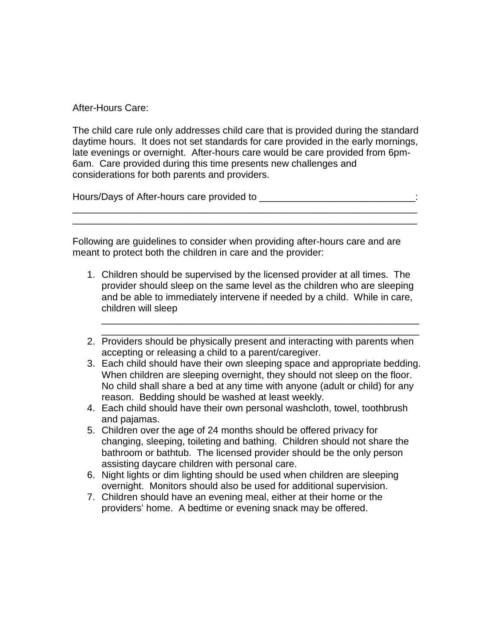After-Hours Care:

The child care rule only addresses child care that is provided during the standard daytime hours. It does not set standards for care provided in the early mornings, late evenings or overnight. After-hours care would be care provided from 6pm-6am. Care provided during this time presents new challenges and considerations for both parents and providers.

\_\_\_\_\_\_\_\_\_\_\_\_\_\_\_\_\_\_\_\_\_\_\_\_\_\_\_\_\_\_\_\_\_\_\_\_\_\_\_\_\_\_\_\_\_\_\_\_\_\_\_\_\_\_\_\_\_\_\_\_\_\_\_\_ \_\_\_\_\_\_\_\_\_\_\_\_\_\_\_\_\_\_\_\_\_\_\_\_\_\_\_\_\_\_\_\_\_\_\_\_\_\_\_\_\_\_\_\_\_\_\_\_\_\_\_\_\_\_\_\_\_\_\_\_\_\_\_\_

Hours/Days of After-hours care provided to \_\_\_\_\_\_\_\_\_\_\_\_\_\_\_\_\_\_\_\_\_\_\_\_\_\_\_\_\_:

Following are guidelines to consider when providing after-hours care and are meant to protect both the children in care and the provider:

- 1. Children should be supervised by the licensed provider at all times. The provider should sleep on the same level as the children who are sleeping and be able to immediately intervene if needed by a child. While in care, children will sleep
- \_\_\_\_\_\_\_\_\_\_\_\_\_\_\_\_\_\_\_\_\_\_\_\_\_\_\_\_\_\_\_\_\_\_\_\_\_\_\_\_\_\_\_\_\_\_\_\_\_\_\_\_\_\_\_\_\_\_\_ 2. Providers should be physically present and interacting with parents when accepting or releasing a child to a parent/caregiver.

\_\_\_\_\_\_\_\_\_\_\_\_\_\_\_\_\_\_\_\_\_\_\_\_\_\_\_\_\_\_\_\_\_\_\_\_\_\_\_\_\_\_\_\_\_\_\_\_\_\_\_\_\_\_\_\_\_\_\_

- 3. Each child should have their own sleeping space and appropriate bedding. When children are sleeping overnight, they should not sleep on the floor. No child shall share a bed at any time with anyone (adult or child) for any reason. Bedding should be washed at least weekly.
- 4. Each child should have their own personal washcloth, towel, toothbrush and pajamas.
- 5. Children over the age of 24 months should be offered privacy for changing, sleeping, toileting and bathing. Children should not share the bathroom or bathtub. The licensed provider should be the only person assisting daycare children with personal care.
- 6. Night lights or dim lighting should be used when children are sleeping overnight. Monitors should also be used for additional supervision.
- 7. Children should have an evening meal, either at their home or the providers' home. A bedtime or evening snack may be offered.